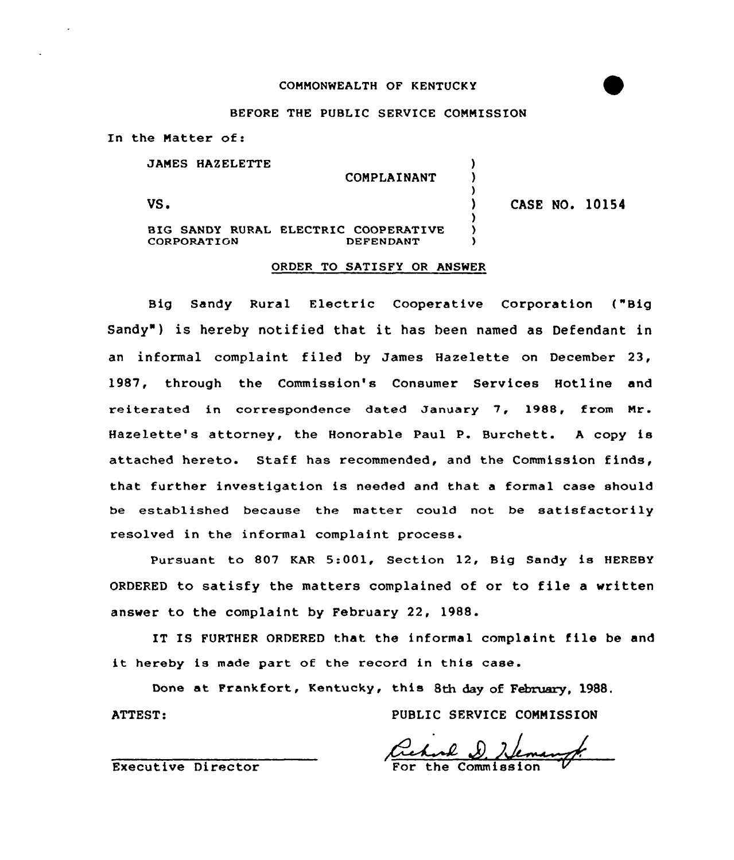## CONNONWEALTH OF KENTUCKY

### BEFORE THE PUBLIC SERVICE COMMISSION

In the Natter of:

JAMES HAZELETTE

VS.

CONPLAINANT

) ) )

) ) )

BIG SANDY RURAL ELECTRIC COOPERATIVE CORPORATION

# ) CASE NO. 10154

#### ORDER TO SATISFY OR ANSWER

Big Sandy Rural Electric Cooperative Corporation ("Big Sandy" ) is hereby notified that it has been named as Defendant in an informal complaint filed by James Hazelette on December 23, 1987, through the Commission's Consumer Services Hotline and reiterated in correspondence dated January 7, 1988, from Nr. Hazelette's attorney, the Honorable Paul P. Burchett. <sup>A</sup> copy is attached hereto. Staff has recommended, and the Commission finds, that further investigation is needed and that a formal case should be established because the matter could not be satisfactorily resolved in the informal complaint process.

Pursuant to 807 KAR 5:001, Section 12, Big Sandy is HEREBY ORDERED to satisfy the matters complained of or to file <sup>a</sup> written answer to the complaint by February 22, 1988.

IT IS FURTHER ORDERED that the informal complaint file be and it hereby is made part of the record in this case.

Done at Frankfort, Kentucky, this 8th day of February, 1988. ATTEST: PUBLIC SERVICE COMMISSION

Executive Director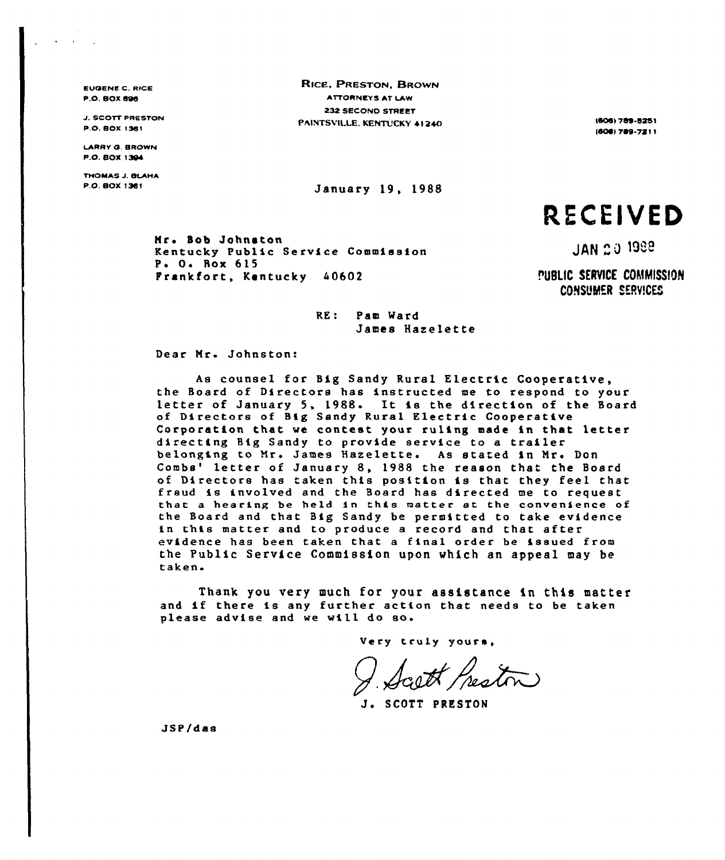EVOENE C. RICE **P.O. BOX 696** 

**J. SCOTT PRESTON** P.O. BOX 13SI

LARRY O. BROWN p.o. Box 1304

THOMAS J. BLAHA<br>P.O. BOX 1381

RICE, PRESTON, BROWN AITORNEYS AT LAW 232 SECONO STREET PAINTSVILLE. KENTUCKY 41240 18081 18081789-8251

January 19, 1988

(606) 789-7211

RECEIVED

Mr. Bob Johnston Kentucky Public Service Commission P. O. Box 615 Prankfort, Kentucky 40602

**JAN 20 1988** 

PUBLIC SERVICE COMMISSION CONSUMER SERVICES

RE: Pam Ward James Hazelette

Dear Mr. Johnston:

As counsel for Big Sandy Rural Electric Cooperative, the Board of Directors has instructed me to respond to your<br>letter of January 5, 1988. It is the direction of the Board of Directors of Big Sandy Rural Electric Cooperative Corporation that we contest your ruling made in that letter directing Big Sandy to provide service to <sup>a</sup> trailer belonging to Mr. James Hazelette. As stated in Mr. Don<br>Combs' letter of January 8, 1988 the reason that the Board of Directors has taken this position is that they feel that fraud is involved and the Board has directed me to request that a hearing be held in this matter at the convenience of the Board and that Big Sandy be permitted to take evidence in this matter and to produce <sup>a</sup> record and that after evidence has been taken that <sup>a</sup> final order be issued from the Public Service Commission upon which an appeal may be taken.

Thank you very much for your assistance in this matter and if there is any further action that needs to be taken please advise and we will do so.

Very truly yours,

J. SCOTT PRESTON

JSP/das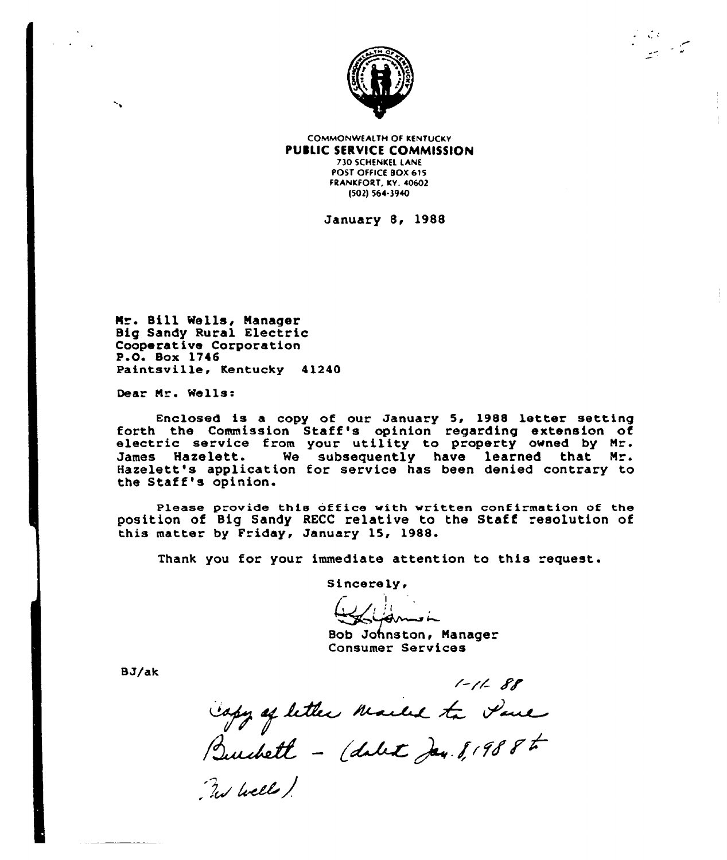

سوال کوئی کرد.<br>سوالی کرد

COMMONWEALTH OF KENTuCKY PUBLIC SERVICE COMMISSION 730 SCHENKEL LANE POST OFFICE BOX 615 FRANKFORT, KY. 40602 (S02) S66-3940

January 8, 1988

Mr. Sill Wells, Manager Big Sandy Rural Electric Cooperative Corporation P.O. Box 1746 Paintsville< Kentucky 41240

Dear Mr. Wells:

×.

Enclosed is a copy of our January 5, 1988 letter setting forth the Commission Staff's opinion regarding extension of<br>electric service from your utility to property owned by Mr.<br>James Hazelett. We subsequently have learned that Mr. We subsequently have learned that Mr. Hazelett's application for service has been denied contrary to the Staff's opinion.

Please provide this office with written confirmation of the position of Big Sandy RECC relative to the Staff resolution of this matter by Friday, January 15, 1988.

Thank you for your immediate attention to this request.

Sincerely,

سنا مسہ

Bob Johnston, Manager Consumer Services

8J/ak

 $1 - 11 - 88$ 

Copy of letter Maille to Paul

By Well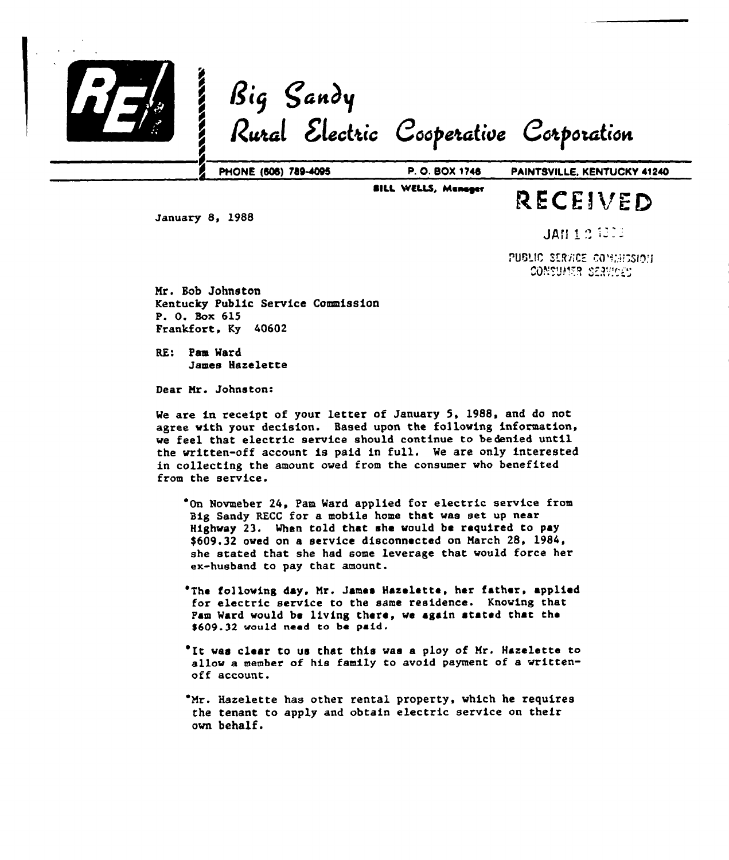

**BILL WELLS, Menager** 

# RECEIVED

January 8, 1988

**JAN 125000** 

PUBLIC SERVICE COMMISSION consumer services

Mr. Bob Johnston Kentucky Public Service Commission P. 0. Box 615 Frankfort, Ky 40602

RE: Pam Ward James Hazelette

Dear Mr. Johnston:

We are in receipt of your letter of January 5, 1988, and do not agree with your decision. Based upon the following information, we feel that electric service should continue to bedenied until the written-off account is paid in full. We are only interested in collecting the amount owed from the consumer who benefited fxom the service.

'On Novmeber 24, Pam Ward applied for electric service from Big Sandy RECC for a mobile home that was set up near Highway 23. When told that she would be required to pay \$609.32 owed on a service disconnected on March 28, 1984, she stated that she had some leverage that would force her ex-husband to pay that amount.

'The following day. Mr. James Hazeletta, her father. applied for electric service to the same residence. Knowing chat Pam Ward vould be living there, ve again stated that the \$609.32 would need to be paid.

'It was clear to us that this was <sup>a</sup> ploy of Mr. Hazelette to allow a member of his family to avoid payment of a writtenoff account.

'Mr. Hazelette has other rental property, which he requires the tenant to apply and obtain electric service on their own behalf.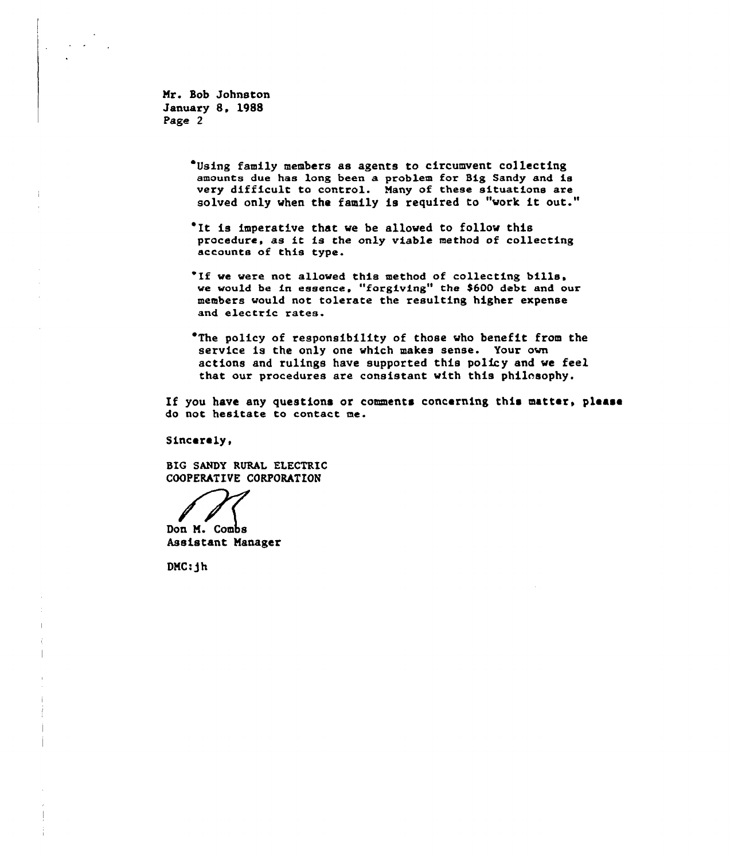Mr. Bob Johnston January 8. 1988 Page 2

- Using family members as agents to circumvent collecting amounts due has long been a problem for Big Sandy and is very difficult to control. Many of these situations are solved only when the family is required to "work it out."
- 'It is imperative that we be allowed to follow this procedure, as it is the only viable method of collecting accounts of this type.
- 'If we were not allowed this method of collecting bills, we would be in essence, "forgiving" the \$600 debt and our members would not tolerate the resulting higher expense and electric rates.
- 'The policy of responsibility of those who benefit from the service is the only one which makes sense. Your own actions and rulings have supported this policy and we feel that our procedures are consistent with this philosophy.

If you have any questions or comments concerning this matter, please do not hesitate to contact me.

Sincerely,

BIG SANDY RURAL ELECTRIC COOPERATIVE CORPORATION

Don M. Combs Assistant Manager

 $DMC: jh$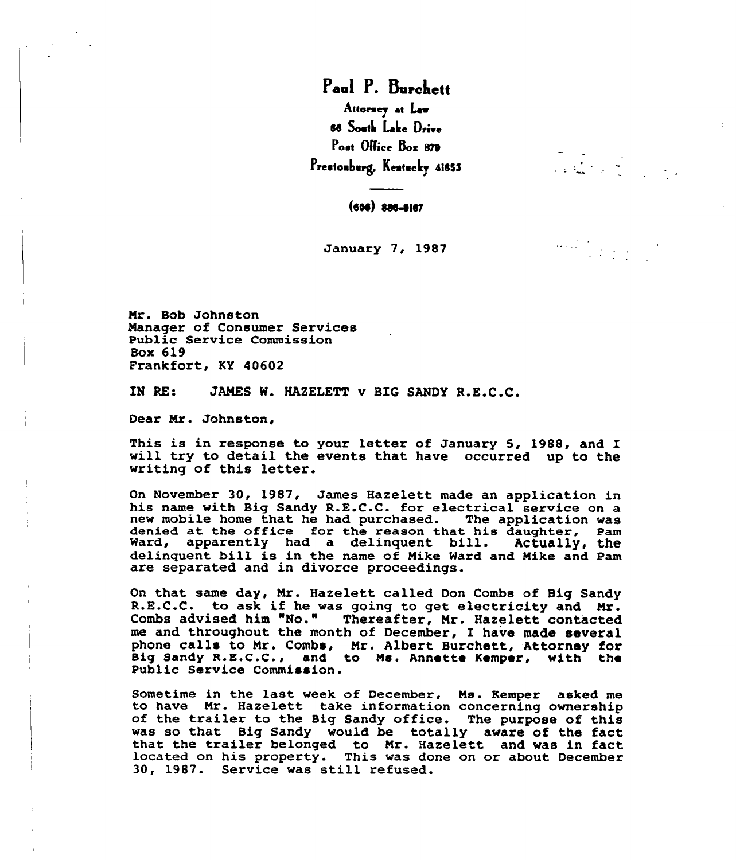Paul P. Burchett Attoraey at Law 66 South Lake Drive Poet Office Box 879 Prestonburg, Kentucky 41853

 $(606)$   $806 - 9167$ 

January 7, 1987

Mr. Bob Johnston Manager of Consumer Services Public Service Commission Box 619 Frankfort, KY 40602

IN RE: JAMEB N. HAZELETT v BIG BANDY R.E.C.C.

Dear Mr. Johnston,

This is in response to your letter of January 5, 1988, and I will try to detail the events that have occurred up to the writing of this letter.

On November 30, 1987, James Hazelett made an application in his name with Big Sandy R.E.C.C. for electrical service on a new mobile home that he had purchased. The application was new mobile home that he had purchased. denied at the office for the reason that his daughter, Pam denied at the office for the reason that his daughter, Pan<br>Ward, apparently had a delinquent bill. Actually, the delinquent bill is in the name of Mike Ward and Nike and Pam are separated and in divorce proceedings.

On that same day, Mr. Hazelett called Don Combs of Big Sandy R.E.C.C. to ask if he was going to get electricity and Nr. Combs advised him "No." Thereafter, Mr. Hazelett contacted me and throughout the month of December, I have made several phone calls to Mr. Combs, Mr. Albert Burchett, Attorney for Sig Sandy R.E.C.C., and to Ns. Annette Kemper, with the Public Service Commission.

Sometime in the last week of December, Ms. Kemper asked me<br>to have Mr. Hazelett take information concerning ownership of the trailer to the Big Sandy office. The purpose of this<br>was so that Big Sandy would be totally aware of the fact that the trailer belonged to Mr. Hazelett and was in fact located on his property. This was done on or about December 30, 1987. Service was still refused.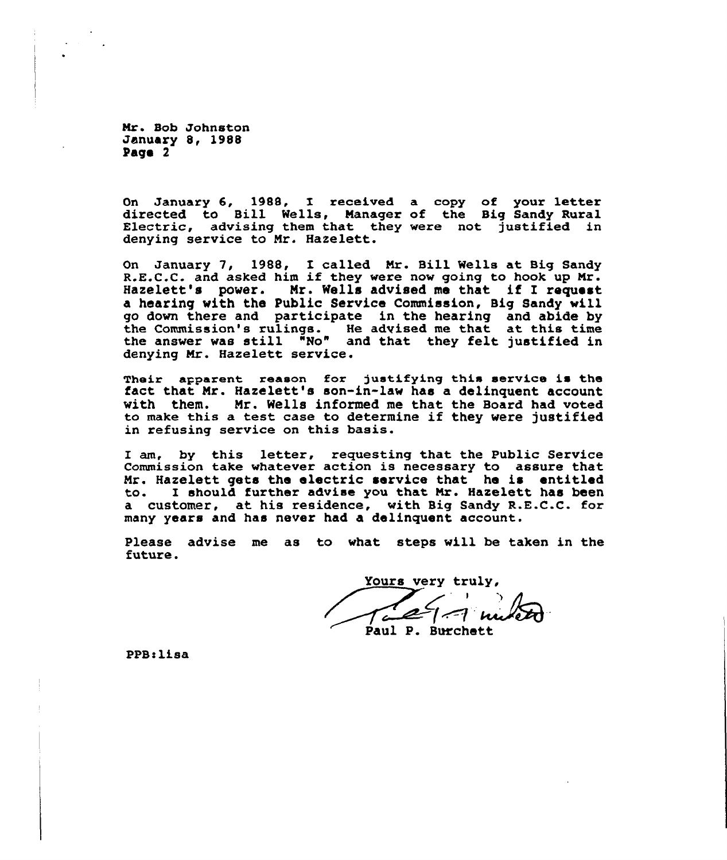Mr. Bob Johnston January 8, 1988 Page 2

On January 6, 1988, I received a copy of your letter directed to Bill Wells, Manager of the Big Sandy Rural Electric, advising them that they were not justified in Electric, advising them that they were not justified in denying service to Mr. Hazelett.

On January 7, 1988, <sup>I</sup> called Mr. Bill Wells at Big Sandy R.E.C.C. and asked him if they were now going to hook up Mr. Hazelett's power. Mr. Wells advised me that if I request a hearing with the Public Service Commission, Big Sandy will go down there and participate in the hearing and abide by the Commission's rulings. He advised me that at this time the commission s fullings. He advised me that at this time<br>the answer was still "No" and that they felt justified in denying Mr. Hazelett service.

Their apparent reason for justifying this service is the fact that Mr. Hazelett's son-in-law has a delinquent account with them. Mr. Wells informed me that the Board had voted to make this <sup>a</sup> test case to determine if they were justified in refusing service on this basis.

I am, by this letter, requesting that the Public Service Commission take whatever action is necessary to assure that Mr. Hazelett gets the electric service that he is entitled to. I should further advise you that Mr. Hazelett has been a customer, at his residence, with Big Sandy R.E.C.C. for many years and has never had a delinquent account.

Please advise me as to what steps will be taken in the future.

Yours very truly, Tal/-1 m

PPB: lisa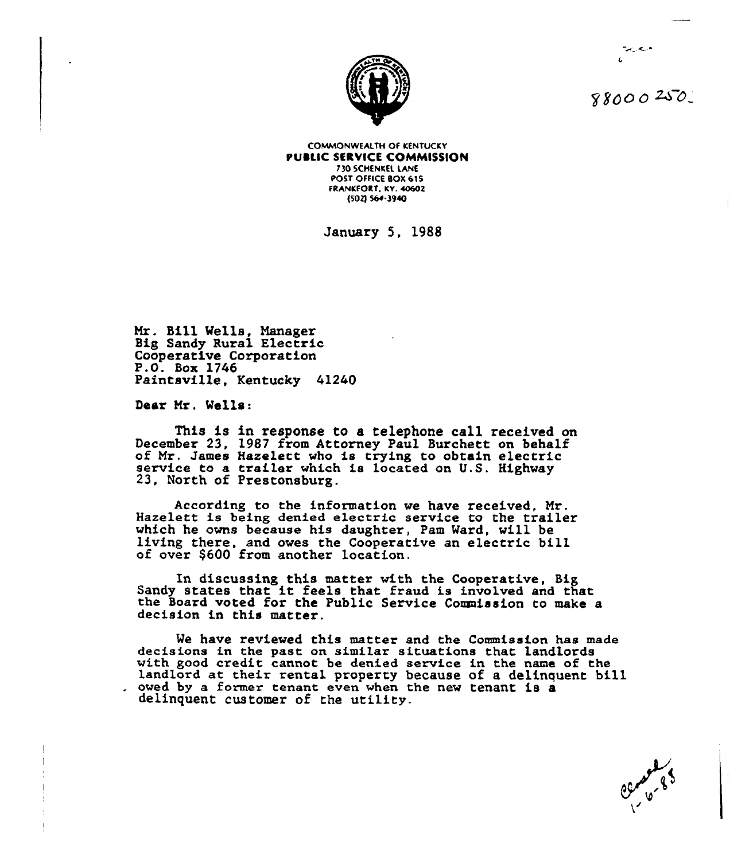

88000250

الأريمانية

**COMMONWEALTH OF KENTUCKY** PUBLIC SERVICE COMMISSION **730 SCHENKEL LANE** POST OFFICE BOX 615 FRANKFORT, KY. 40602 (502) 564-3940

Januaxy 5, 1988

Mr. Sill Wells, Manager Big Sandy Rural Electric Cooperative Corporation<br>P.O. Box 1746 Paintsville, Kentucky 41240

Dear Mx, Wells:

This is in response to a telephone call received on December 2<mark>3,</mark><br>of Mr. James service to a trailer which is located on U.S. Highway 23, North of Prestonsburg. December 23, 1987 from Attorney Paul Burchett on behalf Hazelett who is trying to obtain electric<br>trailer which is located on U.S. Highway

According to the information we have received, Mr. Hazelett is being denied electric service to the trailer which he owns because his daughter, Pam Ward, will be living there, and owes the Cooperative an electric bill of over \$<sup>600</sup> from another location.

In discussing this matter with the Cooperative, Big<br>Sandy states that it feels that fraud is involved and that<br>the Board voted for the Public Service Commission to make a the Board voted for the Public Service Commission to make a decision in this matter.

We have reviewed this matter and the Commission has made decisions in the past on similar situations that landlords with good credit cannot be denied service in the name of the landlord at their rental property because of a delinquent bill . owed by a former tenant even when the new tenant is a delinquent customer of the utility.

El Contro